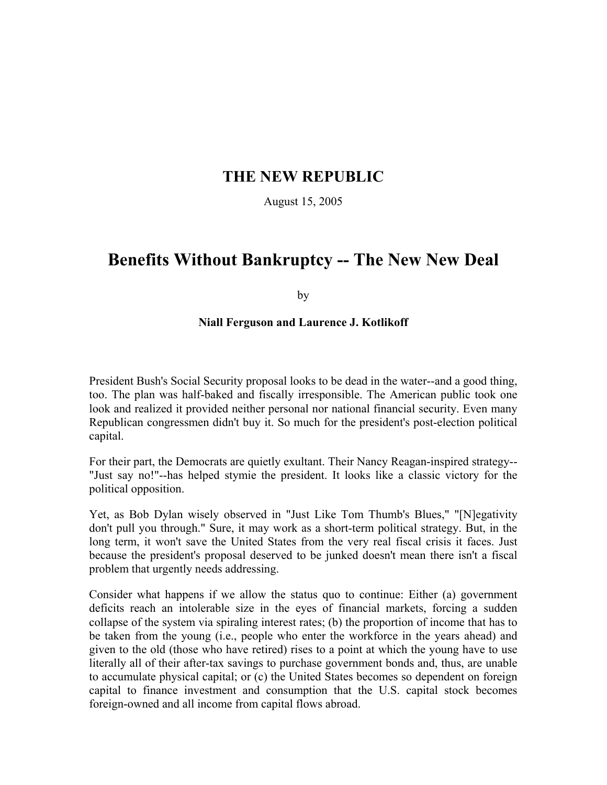# **THE NEW REPUBLIC**

August 15, 2005

# **Benefits Without Bankruptcy -- The New New Deal**

by

#### **Niall Ferguson and Laurence J. Kotlikoff**

President Bush's Social Security proposal looks to be dead in the water--and a good thing, too. The plan was half-baked and fiscally irresponsible. The American public took one look and realized it provided neither personal nor national financial security. Even many Republican congressmen didn't buy it. So much for the president's post-election political capital.

For their part, the Democrats are quietly exultant. Their Nancy Reagan-inspired strategy-- "Just say no!"--has helped stymie the president. It looks like a classic victory for the political opposition.

Yet, as Bob Dylan wisely observed in "Just Like Tom Thumb's Blues," "[N]egativity don't pull you through." Sure, it may work as a short-term political strategy. But, in the long term, it won't save the United States from the very real fiscal crisis it faces. Just because the president's proposal deserved to be junked doesn't mean there isn't a fiscal problem that urgently needs addressing.

Consider what happens if we allow the status quo to continue: Either (a) government deficits reach an intolerable size in the eyes of financial markets, forcing a sudden collapse of the system via spiraling interest rates; (b) the proportion of income that has to be taken from the young (i.e., people who enter the workforce in the years ahead) and given to the old (those who have retired) rises to a point at which the young have to use literally all of their after-tax savings to purchase government bonds and, thus, are unable to accumulate physical capital; or (c) the United States becomes so dependent on foreign capital to finance investment and consumption that the U.S. capital stock becomes foreign-owned and all income from capital flows abroad.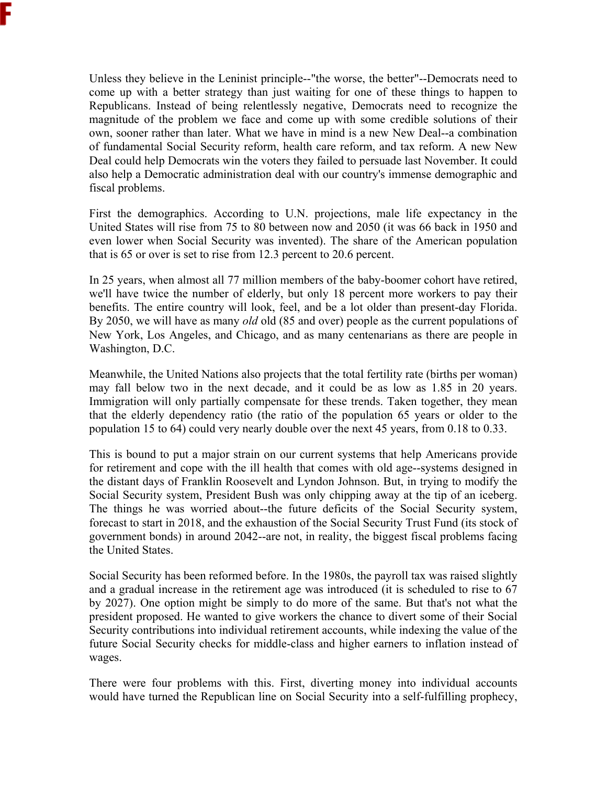Unless they believe in the Leninist principle--"the worse, the better"--Democrats need to come up with a better strategy than just waiting for one of these things to happen to Republicans. Instead of being relentlessly negative, Democrats need to recognize the magnitude of the problem we face and come up with some credible solutions of their own, sooner rather than later. What we have in mind is a new New Deal--a combination of fundamental Social Security reform, health care reform, and tax reform. A new New Deal could help Democrats win the voters they failed to persuade last November. It could also help a Democratic administration deal with our country's immense demographic and

fiscal problems.

First the demographics. According to U.N. projections, male life expectancy in the United States will rise from 75 to 80 between now and 2050 (it was 66 back in 1950 and even lower when Social Security was invented). The share of the American population that is 65 or over is set to rise from 12.3 percent to 20.6 percent.

In 25 years, when almost all 77 million members of the baby-boomer cohort have retired, we'll have twice the number of elderly, but only 18 percent more workers to pay their benefits. The entire country will look, feel, and be a lot older than present-day Florida. By 2050, we will have as many *old* old (85 and over) people as the current populations of New York, Los Angeles, and Chicago, and as many centenarians as there are people in Washington, D.C.

Meanwhile, the United Nations also projects that the total fertility rate (births per woman) may fall below two in the next decade, and it could be as low as 1.85 in 20 years. Immigration will only partially compensate for these trends. Taken together, they mean that the elderly dependency ratio (the ratio of the population 65 years or older to the population 15 to 64) could very nearly double over the next 45 years, from 0.18 to 0.33.

This is bound to put a major strain on our current systems that help Americans provide for retirement and cope with the ill health that comes with old age--systems designed in the distant days of Franklin Roosevelt and Lyndon Johnson. But, in trying to modify the Social Security system, President Bush was only chipping away at the tip of an iceberg. The things he was worried about--the future deficits of the Social Security system, forecast to start in 2018, and the exhaustion of the Social Security Trust Fund (its stock of government bonds) in around 2042--are not, in reality, the biggest fiscal problems facing the United States.

Social Security has been reformed before. In the 1980s, the payroll tax was raised slightly and a gradual increase in the retirement age was introduced (it is scheduled to rise to 67 by 2027). One option might be simply to do more of the same. But that's not what the president proposed. He wanted to give workers the chance to divert some of their Social Security contributions into individual retirement accounts, while indexing the value of the future Social Security checks for middle-class and higher earners to inflation instead of wages.

There were four problems with this. First, diverting money into individual accounts would have turned the Republican line on Social Security into a self-fulfilling prophecy,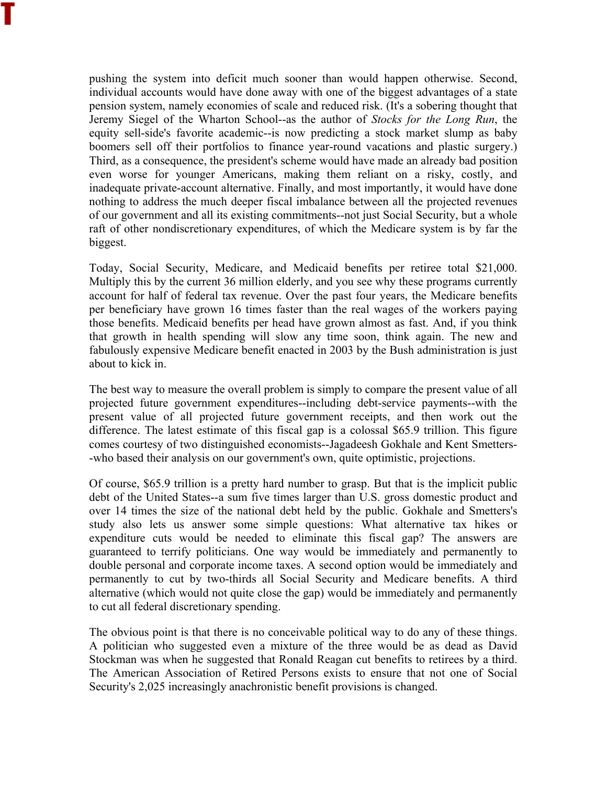pushing the system into deficit much sooner than would happen otherwise. Second, individual accounts would have done away with one of the biggest advantages of a state pension system, namely economies of scale and reduced risk. (It's a sobering thought that Jeremy Siegel of the Wharton School--as the author of *Stocks for the Long Run*, the equity sell-side's favorite academic--is now predicting a stock market slump as baby boomers sell off their portfolios to finance year-round vacations and plastic surgery.) Third, as a consequence, the president's scheme would have made an already bad position even worse for younger Americans, making them reliant on a risky, costly, and inadequate private-account alternative. Finally, and most importantly, it would have done nothing to address the much deeper fiscal imbalance between all the projected revenues of our government and all its existing commitments--not just Social Security, but a whole raft of other nondiscretionary expenditures, of which the Medicare system is by far the biggest.

Today, Social Security, Medicare, and Medicaid benefits per retiree total \$21,000. Multiply this by the current 36 million elderly, and you see why these programs currently account for half of federal tax revenue. Over the past four years, the Medicare benefits per beneficiary have grown 16 times faster than the real wages of the workers paying those benefits. Medicaid benefits per head have grown almost as fast. And, if you think that growth in health spending will slow any time soon, think again. The new and fabulously expensive Medicare benefit enacted in 2003 by the Bush administration is just about to kick in.

The best way to measure the overall problem is simply to compare the present value of all projected future government expenditures--including debt-service payments--with the present value of all projected future government receipts, and then work out the difference. The latest estimate of this fiscal gap is a colossal \$65.9 trillion. This figure comes courtesy of two distinguished economists--Jagadeesh Gokhale and Kent Smetters- -who based their analysis on our government's own, quite optimistic, projections.

Of course, \$65.9 trillion is a pretty hard number to grasp. But that is the implicit public debt of the United States--a sum five times larger than U.S. gross domestic product and over 14 times the size of the national debt held by the public. Gokhale and Smetters's study also lets us answer some simple questions: What alternative tax hikes or expenditure cuts would be needed to eliminate this fiscal gap? The answers are guaranteed to terrify politicians. One way would be immediately and permanently to double personal and corporate income taxes. A second option would be immediately and permanently to cut by two-thirds all Social Security and Medicare benefits. A third alternative (which would not quite close the gap) would be immediately and permanently to cut all federal discretionary spending.

The obvious point is that there is no conceivable political way to do any of these things. A politician who suggested even a mixture of the three would be as dead as David Stockman was when he suggested that Ronald Reagan cut benefits to retirees by a third. The American Association of Retired Persons exists to ensure that not one of Social Security's 2,025 increasingly anachronistic benefit provisions is changed.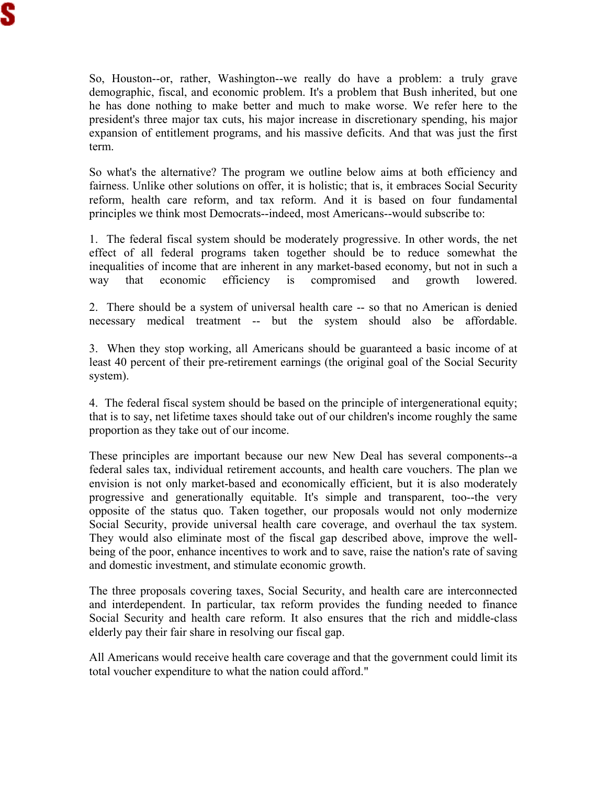So, Houston--or, rather, Washington--we really do have a problem: a truly grave demographic, fiscal, and economic problem. It's a problem that Bush inherited, but one he has done nothing to make better and much to make worse. We refer here to the president's three major tax cuts, his major increase in discretionary spending, his major expansion of entitlement programs, and his massive deficits. And that was just the first term.

So what's the alternative? The program we outline below aims at both efficiency and fairness. Unlike other solutions on offer, it is holistic; that is, it embraces Social Security reform, health care reform, and tax reform. And it is based on four fundamental principles we think most Democrats--indeed, most Americans--would subscribe to:

1. The federal fiscal system should be moderately progressive. In other words, the net effect of all federal programs taken together should be to reduce somewhat the inequalities of income that are inherent in any market-based economy, but not in such a way that economic efficiency is compromised and growth lowered.

2. There should be a system of universal health care -- so that no American is denied necessary medical treatment -- but the system should also be affordable.

3. When they stop working, all Americans should be guaranteed a basic income of at least 40 percent of their pre-retirement earnings (the original goal of the Social Security system).

4. The federal fiscal system should be based on the principle of intergenerational equity; that is to say, net lifetime taxes should take out of our children's income roughly the same proportion as they take out of our income.

These principles are important because our new New Deal has several components--a federal sales tax, individual retirement accounts, and health care vouchers. The plan we envision is not only market-based and economically efficient, but it is also moderately progressive and generationally equitable. It's simple and transparent, too--the very opposite of the status quo. Taken together, our proposals would not only modernize Social Security, provide universal health care coverage, and overhaul the tax system. They would also eliminate most of the fiscal gap described above, improve the wellbeing of the poor, enhance incentives to work and to save, raise the nation's rate of saving and domestic investment, and stimulate economic growth.

The three proposals covering taxes, Social Security, and health care are interconnected and interdependent. In particular, tax reform provides the funding needed to finance Social Security and health care reform. It also ensures that the rich and middle-class elderly pay their fair share in resolving our fiscal gap.

All Americans would receive health care coverage and that the government could limit its total voucher expenditure to what the nation could afford."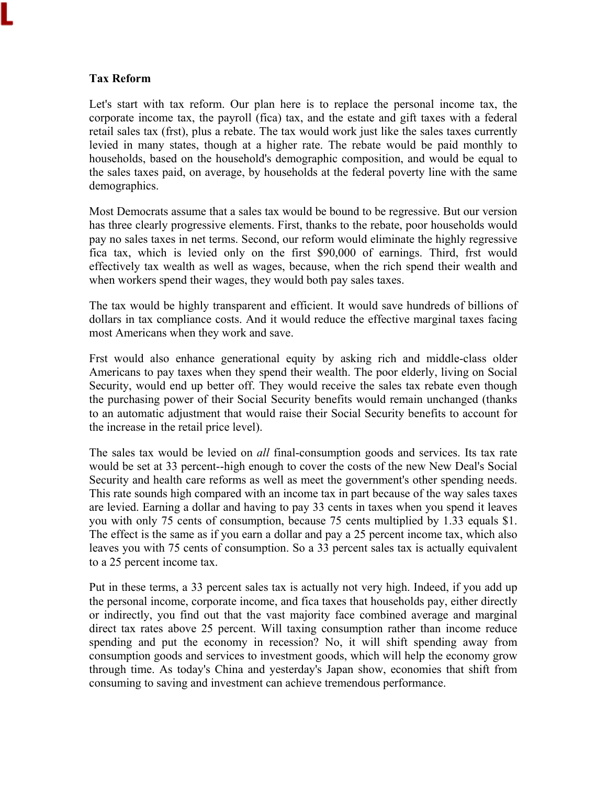#### **Tax Reform**

Let's start with tax reform. Our plan here is to replace the personal income tax, the corporate income tax, the payroll (fica) tax, and the estate and gift taxes with a federal retail sales tax (frst), plus a rebate. The tax would work just like the sales taxes currently levied in many states, though at a higher rate. The rebate would be paid monthly to households, based on the household's demographic composition, and would be equal to the sales taxes paid, on average, by households at the federal poverty line with the same demographics.

Most Democrats assume that a sales tax would be bound to be regressive. But our version has three clearly progressive elements. First, thanks to the rebate, poor households would pay no sales taxes in net terms. Second, our reform would eliminate the highly regressive fica tax, which is levied only on the first \$90,000 of earnings. Third, frst would effectively tax wealth as well as wages, because, when the rich spend their wealth and when workers spend their wages, they would both pay sales taxes.

The tax would be highly transparent and efficient. It would save hundreds of billions of dollars in tax compliance costs. And it would reduce the effective marginal taxes facing most Americans when they work and save.

Frst would also enhance generational equity by asking rich and middle-class older Americans to pay taxes when they spend their wealth. The poor elderly, living on Social Security, would end up better off. They would receive the sales tax rebate even though the purchasing power of their Social Security benefits would remain unchanged (thanks to an automatic adjustment that would raise their Social Security benefits to account for the increase in the retail price level).

The sales tax would be levied on *all* final-consumption goods and services. Its tax rate would be set at 33 percent--high enough to cover the costs of the new New Deal's Social Security and health care reforms as well as meet the government's other spending needs. This rate sounds high compared with an income tax in part because of the way sales taxes are levied. Earning a dollar and having to pay 33 cents in taxes when you spend it leaves you with only 75 cents of consumption, because 75 cents multiplied by 1.33 equals \$1. The effect is the same as if you earn a dollar and pay a 25 percent income tax, which also leaves you with 75 cents of consumption. So a 33 percent sales tax is actually equivalent to a 25 percent income tax.

Put in these terms, a 33 percent sales tax is actually not very high. Indeed, if you add up the personal income, corporate income, and fica taxes that households pay, either directly or indirectly, you find out that the vast majority face combined average and marginal direct tax rates above 25 percent. Will taxing consumption rather than income reduce spending and put the economy in recession? No, it will shift spending away from consumption goods and services to investment goods, which will help the economy grow through time. As today's China and yesterday's Japan show, economies that shift from consuming to saving and investment can achieve tremendous performance.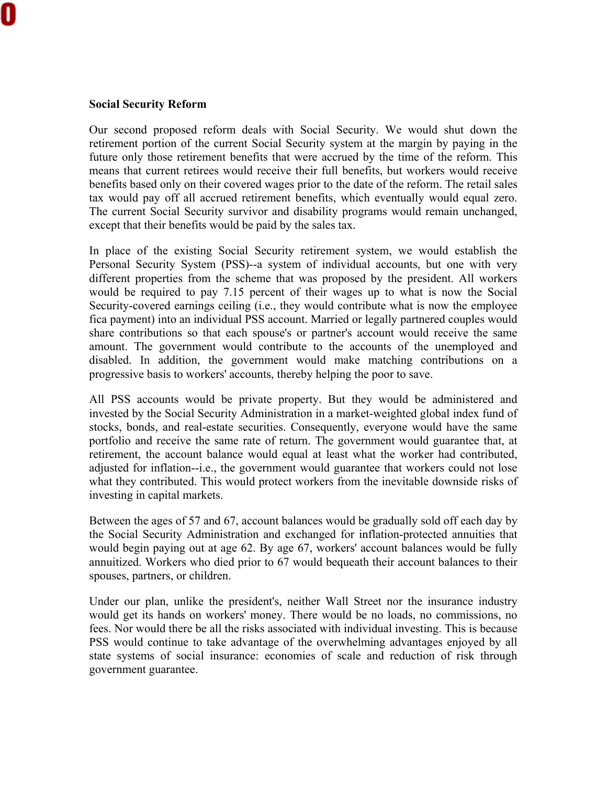#### **Social Security Reform**

Our second proposed reform deals with Social Security. We would shut down the retirement portion of the current Social Security system at the margin by paying in the future only those retirement benefits that were accrued by the time of the reform. This means that current retirees would receive their full benefits, but workers would receive benefits based only on their covered wages prior to the date of the reform. The retail sales tax would pay off all accrued retirement benefits, which eventually would equal zero. The current Social Security survivor and disability programs would remain unchanged, except that their benefits would be paid by the sales tax.

In place of the existing Social Security retirement system, we would establish the Personal Security System (PSS)--a system of individual accounts, but one with very different properties from the scheme that was proposed by the president. All workers would be required to pay 7.15 percent of their wages up to what is now the Social Security-covered earnings ceiling (i.e., they would contribute what is now the employee fica payment) into an individual PSS account. Married or legally partnered couples would share contributions so that each spouse's or partner's account would receive the same amount. The government would contribute to the accounts of the unemployed and disabled. In addition, the government would make matching contributions on a progressive basis to workers' accounts, thereby helping the poor to save.

All PSS accounts would be private property. But they would be administered and invested by the Social Security Administration in a market-weighted global index fund of stocks, bonds, and real-estate securities. Consequently, everyone would have the same portfolio and receive the same rate of return. The government would guarantee that, at retirement, the account balance would equal at least what the worker had contributed, adjusted for inflation--i.e., the government would guarantee that workers could not lose what they contributed. This would protect workers from the inevitable downside risks of investing in capital markets.

Between the ages of 57 and 67, account balances would be gradually sold off each day by the Social Security Administration and exchanged for inflation-protected annuities that would begin paying out at age 62. By age 67, workers' account balances would be fully annuitized. Workers who died prior to 67 would bequeath their account balances to their spouses, partners, or children.

Under our plan, unlike the president's, neither Wall Street nor the insurance industry would get its hands on workers' money. There would be no loads, no commissions, no fees. Nor would there be all the risks associated with individual investing. This is because PSS would continue to take advantage of the overwhelming advantages enjoyed by all state systems of social insurance: economies of scale and reduction of risk through government guarantee.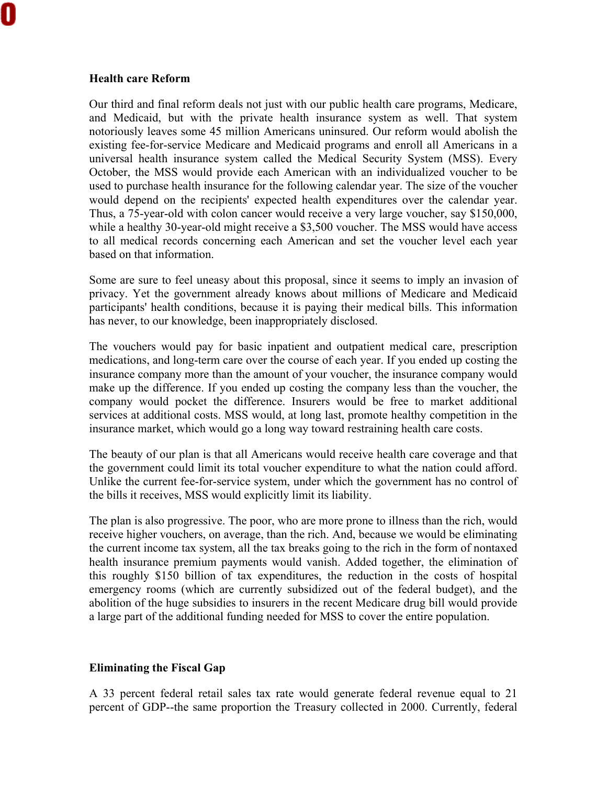## **Health care Reform**

Our third and final reform deals not just with our public health care programs, Medicare, and Medicaid, but with the private health insurance system as well. That system notoriously leaves some 45 million Americans uninsured. Our reform would abolish the existing fee-for-service Medicare and Medicaid programs and enroll all Americans in a universal health insurance system called the Medical Security System (MSS). Every October, the MSS would provide each American with an individualized voucher to be used to purchase health insurance for the following calendar year. The size of the voucher would depend on the recipients' expected health expenditures over the calendar year. Thus, a 75-year-old with colon cancer would receive a very large voucher, say \$150,000, while a healthy 30-year-old might receive a \$3,500 voucher. The MSS would have access to all medical records concerning each American and set the voucher level each year based on that information.

Some are sure to feel uneasy about this proposal, since it seems to imply an invasion of privacy. Yet the government already knows about millions of Medicare and Medicaid participants' health conditions, because it is paying their medical bills. This information has never, to our knowledge, been inappropriately disclosed.

The vouchers would pay for basic inpatient and outpatient medical care, prescription medications, and long-term care over the course of each year. If you ended up costing the insurance company more than the amount of your voucher, the insurance company would make up the difference. If you ended up costing the company less than the voucher, the company would pocket the difference. Insurers would be free to market additional services at additional costs. MSS would, at long last, promote healthy competition in the insurance market, which would go a long way toward restraining health care costs.

The beauty of our plan is that all Americans would receive health care coverage and that the government could limit its total voucher expenditure to what the nation could afford. Unlike the current fee-for-service system, under which the government has no control of the bills it receives, MSS would explicitly limit its liability.

The plan is also progressive. The poor, who are more prone to illness than the rich, would receive higher vouchers, on average, than the rich. And, because we would be eliminating the current income tax system, all the tax breaks going to the rich in the form of nontaxed health insurance premium payments would vanish. Added together, the elimination of this roughly \$150 billion of tax expenditures, the reduction in the costs of hospital emergency rooms (which are currently subsidized out of the federal budget), and the abolition of the huge subsidies to insurers in the recent Medicare drug bill would provide a large part of the additional funding needed for MSS to cover the entire population.

### **Eliminating the Fiscal Gap**

A 33 percent federal retail sales tax rate would generate federal revenue equal to 21 percent of GDP--the same proportion the Treasury collected in 2000. Currently, federal